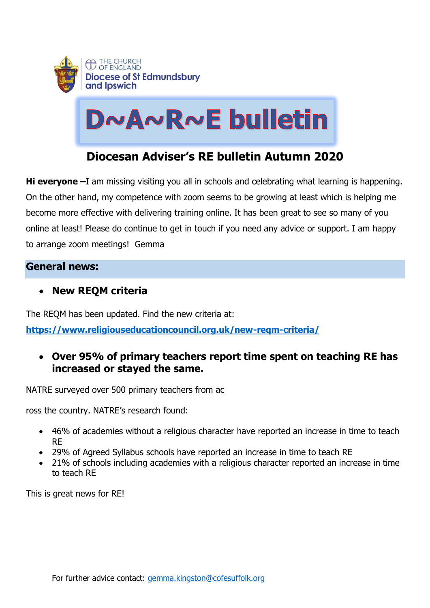

# DNANRNE bulletin

# **Diocesan Adviser's RE bulletin Autumn 2020**

**Hi everyone –**I am missing visiting you all in schools and celebrating what learning is happening. On the other hand, my competence with zoom seems to be growing at least which is helping me become more effective with delivering training online. It has been great to see so many of you online at least! Please do continue to get in touch if you need any advice or support. I am happy to arrange zoom meetings! Gemma

#### **General news:**

# • **New REQM criteria**

The REQM has been updated. Find the new criteria at: **<https://www.religiouseducationcouncil.org.uk/new-reqm-criteria/>**

## • **Over 95% of primary teachers report time spent on teaching RE has increased or stayed the same.**

NATRE surveyed over 500 primary teachers from ac

ross the country. NATRE's research found:

- 46% of academies without a religious character have reported an increase in time to teach RE
- 29% of Agreed Syllabus schools have reported an increase in time to teach RE
- 21% of schools including academies with a religious character reported an increase in time to teach RE

This is great news for RE!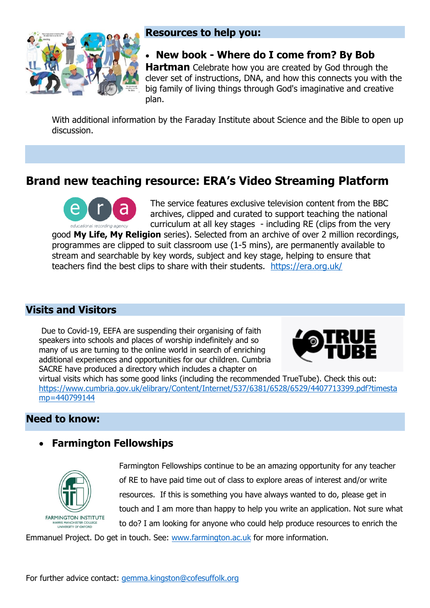

# **Resources to help you:**

# • **New book - Where do I come from? By Bob**

**Hartman** Celebrate how you are created by God through the clever set of instructions, DNA, and how this connects you with the big family of living things through God's imaginative and creative plan.

With additional information by the Faraday Institute about Science and the Bible to open up discussion.

# **Brand new teaching resource: ERA's Video Streaming Platform**



The service features exclusive television content from the BBC archives, clipped and curated to support teaching the national curriculum at all key stages - including RE (clips from the very

good **My Life, My Religion** series). Selected from an archive of over 2 million recordings, programmes are clipped to suit classroom use (1-5 mins), are permanently available to stream and searchable by key words, subject and key stage, helping to ensure that teachers find the best clips to share with their students. <https://era.org.uk/>

#### **Visits and Visitors**

Due to Covid-19, EEFA are suspending their organising of faith speakers into schools and places of worship indefinitely and so many of us are turning to the online world in search of enriching additional experiences and opportunities for our children. Cumbria SACRE have produced a directory which includes a chapter on



virtual visits which has some good links (including the recommended TrueTube). Check this out: [https://www.cumbria.gov.uk/elibrary/Content/Internet/537/6381/6528/6529/4407713399.pdf?timesta](https://www.cumbria.gov.uk/elibrary/Content/Internet/537/6381/6528/6529/4407713399.pdf?timestamp=440799144) [mp=440799144](https://www.cumbria.gov.uk/elibrary/Content/Internet/537/6381/6528/6529/4407713399.pdf?timestamp=440799144)

#### **Need to know:**

# • **Farmington Fellowships**



Farmington Fellowships continue to be an amazing opportunity for any teacher of RE to have paid time out of class to explore areas of interest and/or write resources. If this is something you have always wanted to do, please get in touch and I am more than happy to help you write an application. Not sure what to do? I am looking for anyone who could help produce resources to enrich the

Emmanuel Project. Do get in touch. See: [www.farmington.ac.uk](http://www.farmington.ac.uk/) for more information.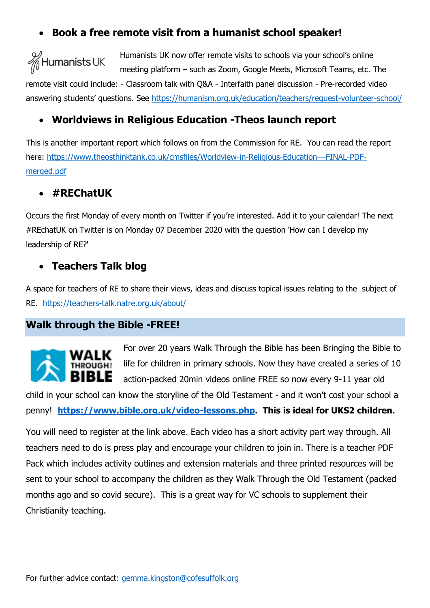# • **Book a free remote visit from a humanist school speaker!**

# $\mathcal{W}$ Humanists UK

Humanists UK now offer remote visits to schools via your school's online meeting platform – such as Zoom, Google Meets, Microsoft Teams, etc. The

remote visit could include: - Classroom talk with Q&A - Interfaith panel discussion - Pre-recorded video answering students' questions. See<https://humanism.org.uk/education/teachers/request-volunteer-school/>

# • **Worldviews in Religious Education -Theos launch report**

This is another important report which follows on from the Commission for RE. You can read the report here: [https://www.theosthinktank.co.uk/cmsfiles/Worldview-in-Religious-Education---FINAL-PDF](https://www.theosthinktank.co.uk/cmsfiles/Worldview-in-Religious-Education---FINAL-PDF-merged.pdf)[merged.pdf](https://www.theosthinktank.co.uk/cmsfiles/Worldview-in-Religious-Education---FINAL-PDF-merged.pdf)

## • **#REChatUK**

Occurs the first Monday of every month on Twitter if you're interested. Add it to your calendar! The next #REchatUK on Twitter is on Monday 07 December 2020 with the question 'How can I develop my leadership of RE?'

# • **Teachers Talk blog**

A space for teachers of RE to share their views, ideas and discuss topical issues relating to the subject of RE. <https://teachers-talk.natre.org.uk/about/>

#### **Walk through the Bible -FREE!**



For over 20 years Walk Through the Bible has been Bringing the Bible to life for children in primary schools. Now they have created a series of 10 action-packed 20min videos online FREE so now every 9-11 year old

child in your school can know the storyline of the Old Testament - and it won't cost your school a penny! **[https://www.bible.org.uk/video-lessons.php.](https://www.bible.org.uk/video-lessons.php) This is ideal for UKS2 children.**

You will need to register at the link above. Each video has a short activity part way through. All teachers need to do is press play and encourage your children to join in. There is a teacher PDF Pack which includes activity outlines and extension materials and three printed resources will be sent to your school to accompany the children as they Walk Through the Old Testament (packed months ago and so covid secure). This is a great way for VC schools to supplement their Christianity teaching.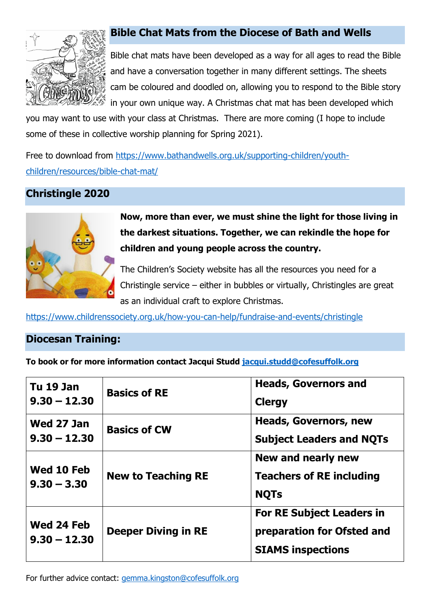

# **Bible Chat Mats from the Diocese of Bath and Wells**

Bible chat mats have been developed as a way for all ages to read the Bible and have a conversation together in many different settings. The sheets cam be coloured and doodled on, allowing you to respond to the Bible story in your own unique way. A Christmas chat mat has been developed which

you may want to use with your class at Christmas. There are more coming (I hope to include some of these in collective worship planning for Spring 2021).

Free to download from [https://www.bathandwells.org.uk/supporting-children/youth](https://www.bathandwells.org.uk/supporting-children/youth-children/resources/bible-chat-mat/)[children/resources/bible-chat-mat/](https://www.bathandwells.org.uk/supporting-children/youth-children/resources/bible-chat-mat/)

# **Christingle 2020**



**Now, more than ever, we must shine the light for those living in the darkest situations. Together, we can rekindle the hope for children and young people across the country.**

The Children's Society website has all the resources you need for a Christingle service – either in bubbles or virtually, Christingles are great as an individual craft to explore Christmas.

<https://www.childrenssociety.org.uk/how-you-can-help/fundraise-and-events/christingle>

# **Diocesan Training:**

**To book or for more information contact Jacqui Studd [jacqui.studd@cofesuffolk.org](mailto:jacqui.studd@cofesuffolk.org)**

| <b>Tu 19 Jan</b><br>$9.30 - 12.30$ | <b>Basics of RE</b>        | <b>Heads, Governors and</b><br><b>Clergy</b>                                               |
|------------------------------------|----------------------------|--------------------------------------------------------------------------------------------|
| Wed 27 Jan<br>$9.30 - 12.30$       | <b>Basics of CW</b>        | <b>Heads, Governors, new</b><br><b>Subject Leaders and NQTs</b>                            |
| Wed 10 Feb<br>$9.30 - 3.30$        | <b>New to Teaching RE</b>  | New and nearly new<br><b>Teachers of RE including</b><br><b>NQTs</b>                       |
| Wed 24 Feb<br>$9.30 - 12.30$       | <b>Deeper Diving in RE</b> | <b>For RE Subject Leaders in</b><br>preparation for Ofsted and<br><b>SIAMS inspections</b> |